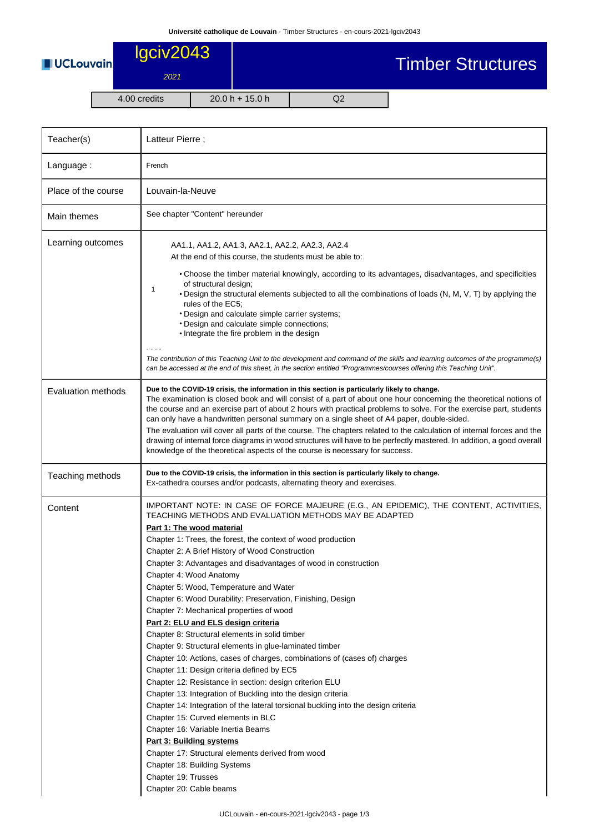Timber Structures



## lgciv2043 2021

## 4.00 credits 20.0 h + 15.0 h Q2 Teacher(s) Latteur Pierre ; Language : French Place of the course | Louvain-la-Neuve Main themes See chapter "Content" hereunder Learning outcomes 1 AA1.1, AA1.2, AA1.3, AA2.1, AA2.2, AA2.3, AA2.4 At the end of this course, the students must be able to: • Choose the timber material knowingly, according to its advantages, disadvantages, and specificities of structural design; • Design the structural elements subjected to all the combinations of loads (N, M, V, T) by applying the rules of the EC5; • Design and calculate simple carrier systems; • Design and calculate simple connections; • Integrate the fire problem in the design - - - - The contribution of this Teaching Unit to the development and command of the skills and learning outcomes of the programme(s) can be accessed at the end of this sheet, in the section entitled "Programmes/courses offering this Teaching Unit". Evaluation methods **Due to the COVID-19 crisis, the information in this section is particularly likely to change.** The examination is closed book and will consist of a part of about one hour concerning the theoretical notions of the course and an exercise part of about 2 hours with practical problems to solve. For the exercise part, students can only have a handwritten personal summary on a single sheet of A4 paper, double-sided. The evaluation will cover all parts of the course. The chapters related to the calculation of internal forces and the drawing of internal force diagrams in wood structures will have to be perfectly mastered. In addition, a good overall knowledge of the theoretical aspects of the course is necessary for success. Teaching methods **Due to the COVID-19 crisis, the information in this section is particularly likely to change.** Ex-cathedra courses and/or podcasts, alternating theory and exercises. Content MOTE: IN CASE OF FORCE MAJEURE (E.G., AN EPIDEMIC), THE CONTENT, ACTIVITIES, TEACHING METHODS AND EVALUATION METHODS MAY BE ADAPTED **Part 1: The wood material** Chapter 1: Trees, the forest, the context of wood production Chapter 2: A Brief History of Wood Construction Chapter 3: Advantages and disadvantages of wood in construction Chapter 4: Wood Anatomy Chapter 5: Wood, Temperature and Water Chapter 6: Wood Durability: Preservation, Finishing, Design Chapter 7: Mechanical properties of wood **Part 2: ELU and ELS design criteria** Chapter 8: Structural elements in solid timber Chapter 9: Structural elements in glue-laminated timber Chapter 10: Actions, cases of charges, combinations of (cases of) charges Chapter 11: Design criteria defined by EC5 Chapter 12: Resistance in section: design criterion ELU Chapter 13: Integration of Buckling into the design criteria Chapter 14: Integration of the lateral torsional buckling into the design criteria Chapter 15: Curved elements in BLC Chapter 16: Variable Inertia Beams

- **Part 3: Building systems**
- Chapter 17: Structural elements derived from wood
- Chapter 18: Building Systems Chapter 19: Trusses
	- Chapter 20: Cable beams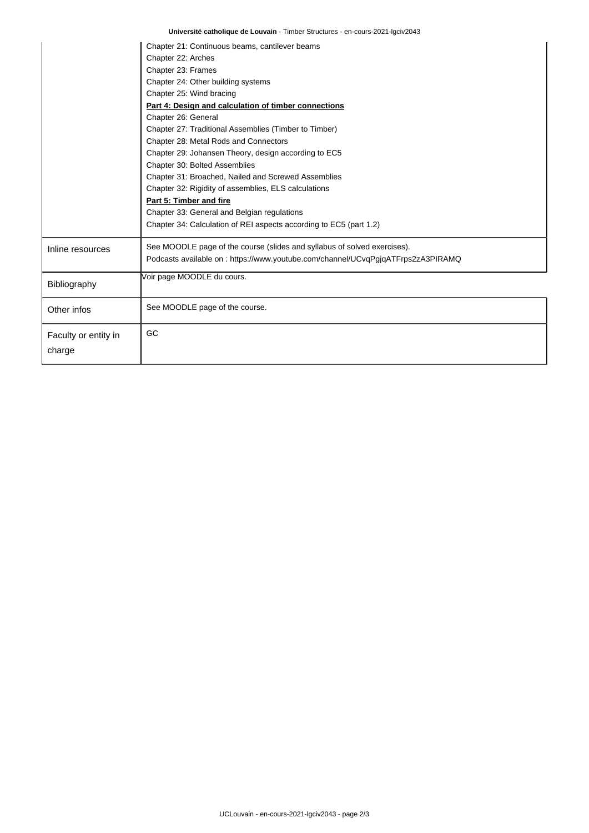|                                | Chapter 21: Continuous beams, cantilever beams                                   |  |  |  |
|--------------------------------|----------------------------------------------------------------------------------|--|--|--|
|                                | Chapter 22: Arches                                                               |  |  |  |
|                                | Chapter 23: Frames                                                               |  |  |  |
|                                | Chapter 24: Other building systems                                               |  |  |  |
|                                | Chapter 25: Wind bracing                                                         |  |  |  |
|                                | Part 4: Design and calculation of timber connections                             |  |  |  |
|                                | Chapter 26: General                                                              |  |  |  |
|                                | Chapter 27: Traditional Assemblies (Timber to Timber)                            |  |  |  |
|                                | Chapter 28: Metal Rods and Connectors                                            |  |  |  |
|                                | Chapter 29: Johansen Theory, design according to EC5                             |  |  |  |
|                                | Chapter 30: Bolted Assemblies                                                    |  |  |  |
|                                | Chapter 31: Broached, Nailed and Screwed Assemblies                              |  |  |  |
|                                | Chapter 32: Rigidity of assemblies, ELS calculations                             |  |  |  |
|                                | Part 5: Timber and fire                                                          |  |  |  |
|                                | Chapter 33: General and Belgian regulations                                      |  |  |  |
|                                | Chapter 34: Calculation of REI aspects according to EC5 (part 1.2)               |  |  |  |
| Inline resources               | See MOODLE page of the course (slides and syllabus of solved exercises).         |  |  |  |
|                                | Podcasts available on : https://www.youtube.com/channel/UCvqPgjqATFrps2zA3PIRAMQ |  |  |  |
| Bibliography                   | Voir page MOODLE du cours.                                                       |  |  |  |
| Other infos                    | See MOODLE page of the course.                                                   |  |  |  |
| Faculty or entity in<br>charge | GC                                                                               |  |  |  |